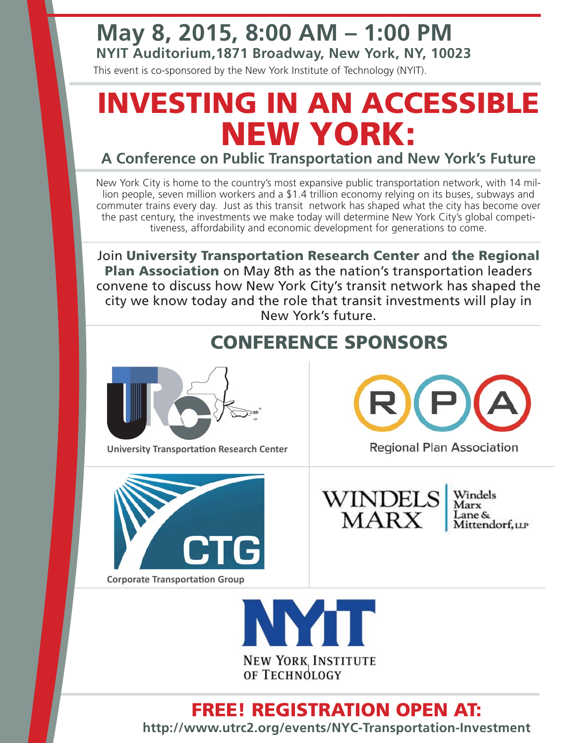### **May 8, 2015, 8:00 AM – 1:00 PM**

**NYIT Auditorium,1871 Broadway, New York, NY, 10023**

This event is co-sponsored by the New York Institute of Technology (NYIT).

# **INVESTING IN AN ACCESSIBLE NEW YORK:**

#### **A Conference on Public Transportation and New York's Future**

New York City is home to the country's most expansive public transportation network, with 14 million people, seven million workers and a \$1.4 trillion economy relying on its buses, subways and commuter trains every day. Just as this transit network has shaped what the city has become over the past century, the investments we make today will determine New York City's global competitiveness, affordability and economic development for generations to come.

Join **University Transportation Research Center** and **the Regional Plan Association** on May 8th as the nation's transportation leaders convene to discuss how New York City's transit network has shaped the city we know today and the role that transit investments will play in New York's future.

### **CONFERENCE SPONSORS**



**University Transportation Research Center** 



**Corporate Transportation Group** 



**Regional Plan Association** 



Windels Marx Lane & Mittendorf, LLP



#### **FREE! REGISTRATION OPEN AT:**

**http://www.utrc2.org/events/NYC-Transportation-Investment**